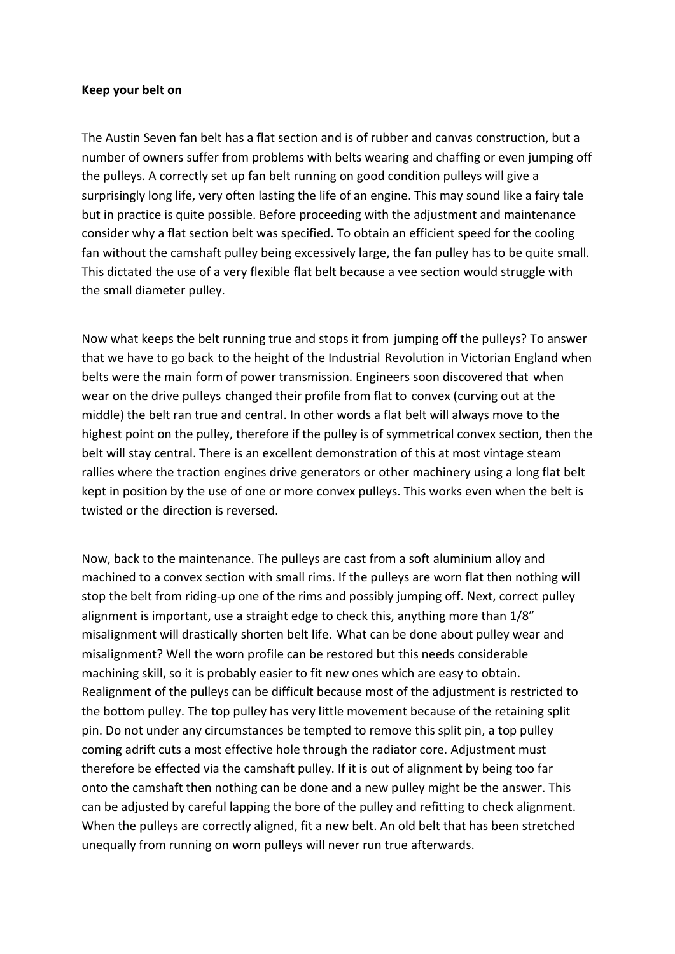## **Keep your belt on**

The Austin Seven fan belt has a flat section and is of rubber and canvas construction, but a number of owners suffer from problems with belts wearing and chaffing or even jumping off the pulleys. A correctly set up fan belt running on good condition pulleys will give a surprisingly long life, very often lasting the life of an engine. This may sound like a fairy tale but in practice is quite possible. Before proceeding with the adjustment and maintenance consider why a flat section belt was specified. To obtain an efficient speed for the cooling fan without the camshaft pulley being excessively large, the fan pulley has to be quite small. This dictated the use of a very flexible flat belt because a vee section would struggle with the small diameter pulley.

Now what keeps the belt running true and stops it from jumping off the pulleys? To answer that we have to go back to the height of the Industrial Revolution in Victorian England when belts were the main form of power transmission. Engineers soon discovered that when wear on the drive pulleys changed their profile from flat to convex (curving out at the middle) the belt ran true and central. In other words a flat belt will always move to the highest point on the pulley, therefore if the pulley is of symmetrical convex section, then the belt will stay central. There is an excellent demonstration of this at most vintage steam rallies where the traction engines drive generators or other machinery using a long flat belt kept in position by the use of one or more convex pulleys. This works even when the belt is twisted or the direction is reversed.

Now, back to the maintenance. The pulleys are cast from a soft aluminium alloy and machined to a convex section with small rims. If the pulleys are worn flat then nothing will stop the belt from riding-up one of the rims and possibly jumping off. Next, correct pulley alignment is important, use a straight edge to check this, anything more than 1/8" misalignment will drastically shorten belt life. What can be done about pulley wear and misalignment? Well the worn profile can be restored but this needs considerable machining skill, so it is probably easier to fit new ones which are easy to obtain. Realignment of the pulleys can be difficult because most of the adjustment is restricted to the bottom pulley. The top pulley has very little movement because of the retaining split pin. Do not under any circumstances be tempted to remove this split pin, a top pulley coming adrift cuts a most effective hole through the radiator core. Adjustment must therefore be effected via the camshaft pulley. If it is out of alignment by being too far onto the camshaft then nothing can be done and a new pulley might be the answer. This can be adjusted by careful lapping the bore of the pulley and refitting to check alignment. When the pulleys are correctly aligned, fit a new belt. An old belt that has been stretched unequally from running on worn pulleys will never run true afterwards.